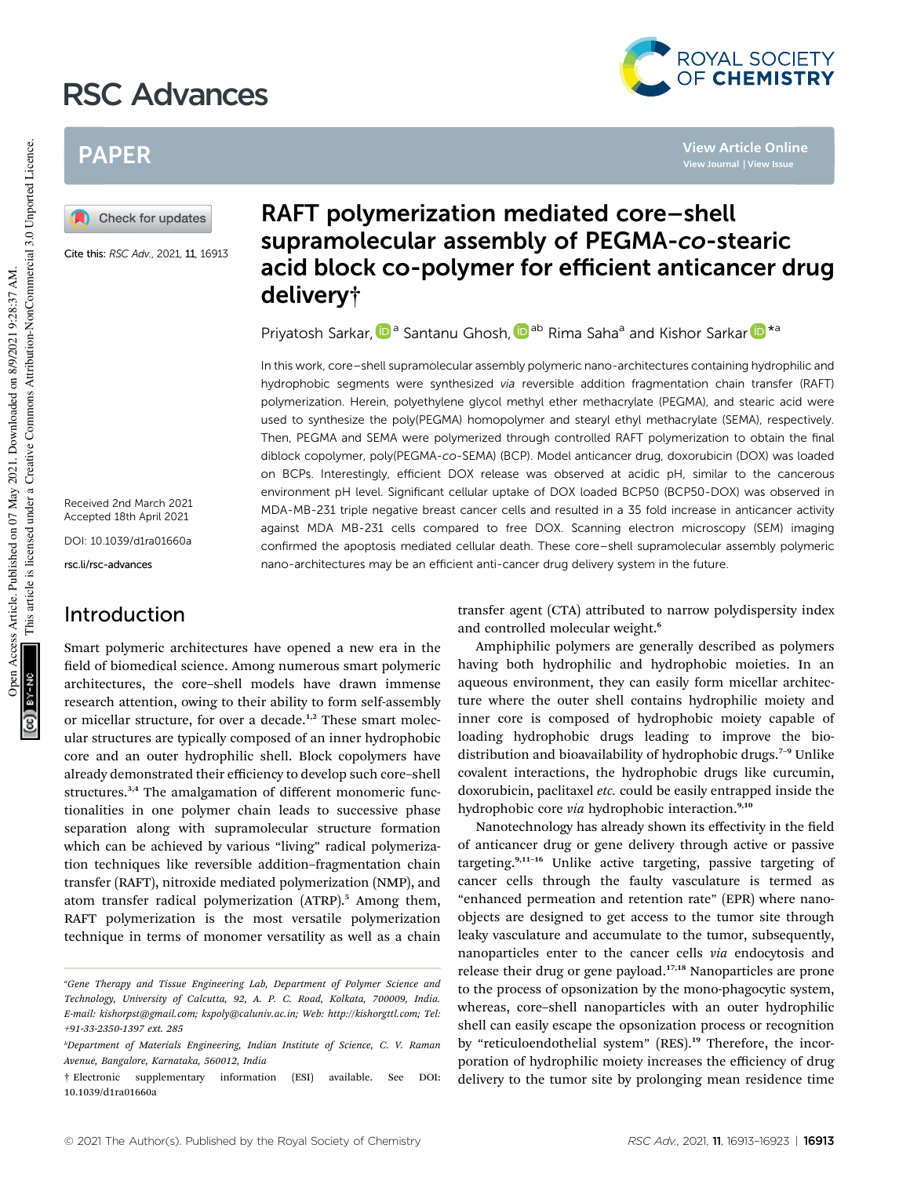# RSC Advances



**View Article Online**

## PAPER



Cite this: RSC Adv., 2021, 11, 16913

Received 2nd March 2021 Accepted 18th April 2021

DOI: 10.1039/d1ra01660a

rsc.li/rsc-advances

## Introduction

Smart polymeric architectures have opened a new era in the field of biomedical science. Among numerous smart polymeric architectures, the core–shell models have drawn immense research attention, owing to their ability to form self-assembly or micellar structure, for over a decade.<sup>1,2</sup> These smart molecular structures are typically composed of an inner hydrophobic core and an outer hydrophilic shell. Block copolymers have already demonstrated their efficiency to develop such core–shell structures.<sup>3,4</sup> The amalgamation of different monomeric functionalities in one polymer chain leads to successive phase separation along with supramolecular structure formation which can be achieved by various "living" radical polymerization techniques like reversible addition–fragmentation chain transfer (RAFT), nitroxide mediated polymerization (NMP), and atom transfer radical polymerization (ATRP).<sup>5</sup> Among them, RAFT polymerization is the most versatile polymerization technique in terms of monomer versatility as well as a chain

## RAFT polymerization mediated core–shell supramolecular assembly of PEGMA-co-stearic acid block co-polymer for efficient anticancer drug delivery†

Priyatosh Sarkar, D<sup>a</sup> Santanu Ghosh, D<sup>ab</sup> Rima Saha<sup>a</sup> and Kishor Sarkar D<sup>\*a</sup>

In this work, core–shell supramolecular assembly polymeric nano-architectures containing hydrophilic and hydrophobic segments were synthesized via reversible addition fragmentation chain transfer (RAFT) polymerization. Herein, polyethylene glycol methyl ether methacrylate (PEGMA), and stearic acid were used to synthesize the poly(PEGMA) homopolymer and stearyl ethyl methacrylate (SEMA), respectively. Then, PEGMA and SEMA were polymerized through controlled RAFT polymerization to obtain the final diblock copolymer, poly(PEGMA-co-SEMA) (BCP). Model anticancer drug, doxorubicin (DOX) was loaded on BCPs. Interestingly, efficient DOX release was observed at acidic pH, similar to the cancerous environment pH level. Significant cellular uptake of DOX loaded BCP50 (BCP50-DOX) was observed in MDA-MB-231 triple negative breast cancer cells and resulted in a 35 fold increase in anticancer activity against MDA MB-231 cells compared to free DOX. Scanning electron microscopy (SEM) imaging confirmed the apoptosis mediated cellular death. These core–shell supramolecular assembly polymeric nano-architectures may be an efficient anti-cancer drug delivery system in the future.

> transfer agent (CTA) attributed to narrow polydispersity index and controlled molecular weight.<sup>6</sup>

> Amphiphilic polymers are generally described as polymers having both hydrophilic and hydrophobic moieties. In an aqueous environment, they can easily form micellar architecture where the outer shell contains hydrophilic moiety and inner core is composed of hydrophobic moiety capable of loading hydrophobic drugs leading to improve the biodistribution and bioavailability of hydrophobic drugs.<sup>7-9</sup> Unlike covalent interactions, the hydrophobic drugs like curcumin, doxorubicin, paclitaxel *etc.* could be easily entrapped inside the hydrophobic core *via* hydrophobic interaction.<sup>9,10</sup>

> Nanotechnology has already shown its effectivity in the field of anticancer drug or gene delivery through active or passive targeting.<sup>9,11-16</sup> Unlike active targeting, passive targeting of cancer cells through the faulty vasculature is termed as "enhanced permeation and retention rate" (EPR) where nanoobjects are designed to get access to the tumor site through leaky vasculature and accumulate to the tumor, subsequently, nanoparticles enter to the cancer cells *via* endocytosis and release their drug or gene payload.<sup>17,18</sup> Nanoparticles are prone to the process of opsonization by the mono-phagocytic system, whereas, core–shell nanoparticles with an outer hydrophilic shell can easily escape the opsonization process or recognition by "reticuloendothelial system" (RES).<sup>19</sup> Therefore, the incorporation of hydrophilic moiety increases the efficiency of drug delivery to the tumor site by prolonging mean residence time

*<sup>a</sup>Gene Therapy and Tissue Engineering Lab, Department of Polymer Science and Technology, University of Calcutta, 92, A. P. C. Road, Kolkata, 700009, India. E-mail: kishorpst@gmail.com; kspoly@caluniv.ac.in; Web: http://kishorgttl.com; Tel: +91-33-2350-1397 ext. 285*

*<sup>b</sup>Department of Materials Engineering, Indian Institute of Science, C. V. Raman Avenue, Bangalore, Karnataka, 560012, India*

<sup>†</sup> Electronic supplementary information (ESI) available. See DOI: 10.1039/d1ra01660a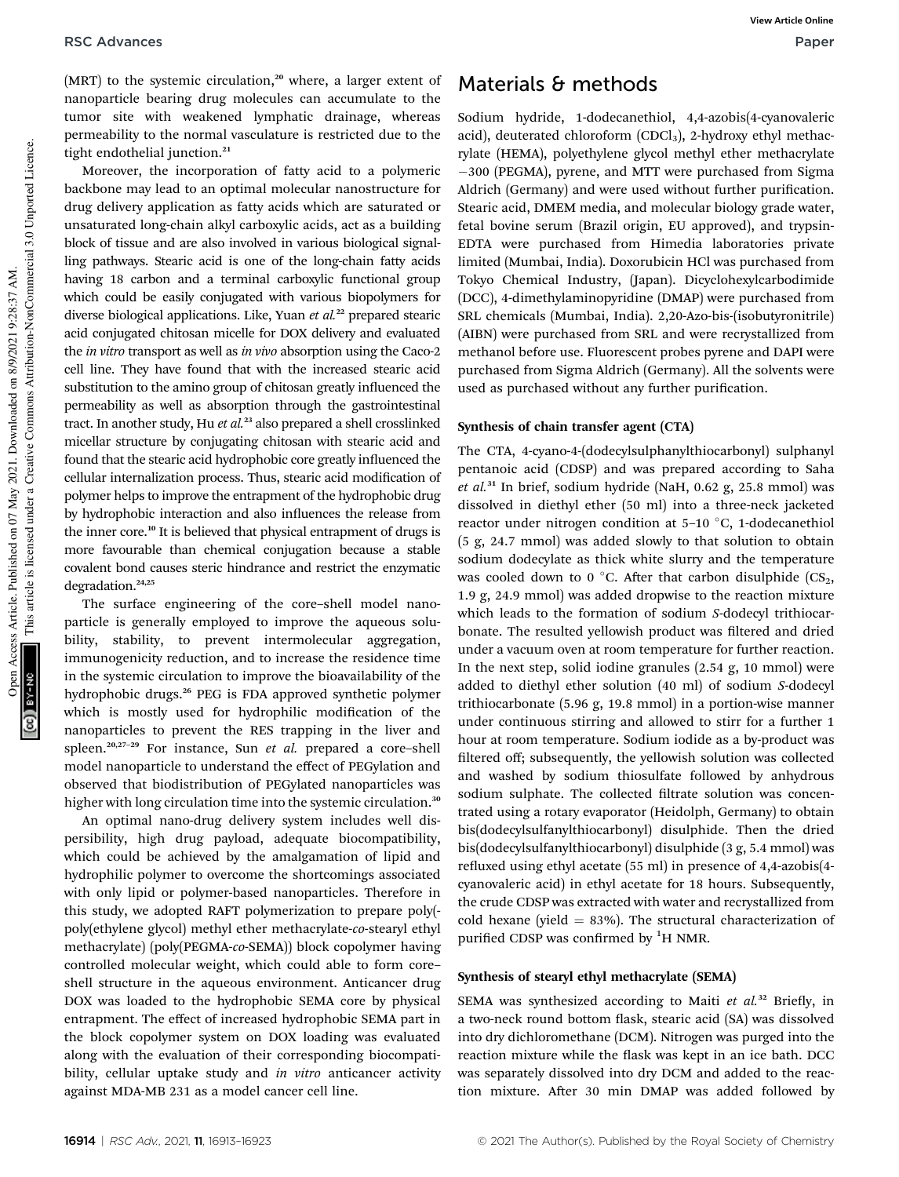(MRT) to the systemic circulation,<sup>20</sup> where, a larger extent of nanoparticle bearing drug molecules can accumulate to the tumor site with weakened lymphatic drainage, whereas permeability to the normal vasculature is restricted due to the tight endothelial junction.<sup>21</sup>

Moreover, the incorporation of fatty acid to a polymeric backbone may lead to an optimal molecular nanostructure for drug delivery application as fatty acids which are saturated or unsaturated long-chain alkyl carboxylic acids, act as a building block of tissue and are also involved in various biological signalling pathways. Stearic acid is one of the long-chain fatty acids having 18 carbon and a terminal carboxylic functional group which could be easily conjugated with various biopolymers for diverse biological applications. Like, Yuan *et al.*<sup>22</sup> prepared stearic acid conjugated chitosan micelle for DOX delivery and evaluated the *in vitro* transport as well as *in vivo* absorption using the Caco-2 cell line. They have found that with the increased stearic acid substitution to the amino group of chitosan greatly influenced the permeability as well as absorption through the gastrointestinal tract. In another study, Hu *et al.*<sup>23</sup> also prepared a shell crosslinked micellar structure by conjugating chitosan with stearic acid and found that the stearic acid hydrophobic core greatly influenced the cellular internalization process. Thus, stearic acid modification of polymer helps to improve the entrapment of the hydrophobic drug by hydrophobic interaction and also influences the release from the inner core.<sup>10</sup> It is believed that physical entrapment of drugs is more favourable than chemical conjugation because a stable covalent bond causes steric hindrance and restrict the enzymatic degradation.<sup>24,25</sup>

The surface engineering of the core–shell model nanoparticle is generally employed to improve the aqueous solubility, stability, to prevent intermolecular aggregation, immunogenicity reduction, and to increase the residence time in the systemic circulation to improve the bioavailability of the hydrophobic drugs.<sup>26</sup> PEG is FDA approved synthetic polymer which is mostly used for hydrophilic modification of the nanoparticles to prevent the RES trapping in the liver and spleen.20,27–<sup>29</sup> For instance, Sun *et al.* prepared a core–shell model nanoparticle to understand the effect of PEGylation and observed that biodistribution of PEGylated nanoparticles was higher with long circulation time into the systemic circulation.<sup>30</sup>

An optimal nano-drug delivery system includes well dispersibility, high drug payload, adequate biocompatibility, which could be achieved by the amalgamation of lipid and hydrophilic polymer to overcome the shortcomings associated with only lipid or polymer-based nanoparticles. Therefore in this study, we adopted RAFT polymerization to prepare poly( poly(ethylene glycol) methyl ether methacrylate-*co*-stearyl ethyl methacrylate) (poly(PEGMA-*co*-SEMA)) block copolymer having controlled molecular weight, which could able to form core– shell structure in the aqueous environment. Anticancer drug DOX was loaded to the hydrophobic SEMA core by physical entrapment. The effect of increased hydrophobic SEMA part in the block copolymer system on DOX loading was evaluated along with the evaluation of their corresponding biocompatibility, cellular uptake study and *in vitro* anticancer activity against MDA-MB 231 as a model cancer cell line.

## Materials & methods

Sodium hydride, 1-dodecanethiol, 4,4-azobis(4-cyanovaleric acid), deuterated chloroform  $(CDCl<sub>3</sub>)$ , 2-hydroxy ethyl methacrylate (HEMA), polyethylene glycol methyl ether methacrylate 300 (PEGMA), pyrene, and MTT were purchased from Sigma Aldrich (Germany) and were used without further purification. Stearic acid, DMEM media, and molecular biology grade water, fetal bovine serum (Brazil origin, EU approved), and trypsin-EDTA were purchased from Himedia laboratories private limited (Mumbai, India). Doxorubicin HCl was purchased from Tokyo Chemical Industry, (Japan). Dicyclohexylcarbodimide (DCC), 4-dimethylaminopyridine (DMAP) were purchased from SRL chemicals (Mumbai, India). 2,20-Azo-bis-(isobutyronitrile) (AIBN) were purchased from SRL and were recrystallized from methanol before use. Fluorescent probes pyrene and DAPI were purchased from Sigma Aldrich (Germany). All the solvents were used as purchased without any further purification.

#### Synthesis of chain transfer agent (CTA)

The CTA, 4-cyano-4-(dodecylsulphanylthiocarbonyl) sulphanyl pentanoic acid (CDSP) and was prepared according to Saha *et al.*<sup>31</sup> In brief, sodium hydride (NaH, 0.62 g, 25.8 mmol) was dissolved in diethyl ether (50 ml) into a three-neck jacketed reactor under nitrogen condition at  $5-10$  °C, 1-dodecanethiol (5 g, 24.7 mmol) was added slowly to that solution to obtain sodium dodecylate as thick white slurry and the temperature was cooled down to 0 °C. After that carbon disulphide  $(CS_2,$ 1.9 g, 24.9 mmol) was added dropwise to the reaction mixture which leads to the formation of sodium *S*-dodecyl trithiocarbonate. The resulted yellowish product was filtered and dried under a vacuum oven at room temperature for further reaction. In the next step, solid iodine granules (2.54 g, 10 mmol) were added to diethyl ether solution (40 ml) of sodium *S*-dodecyl trithiocarbonate (5.96 g, 19.8 mmol) in a portion-wise manner under continuous stirring and allowed to stirr for a further 1 hour at room temperature. Sodium iodide as a by-product was filtered off; subsequently, the yellowish solution was collected and washed by sodium thiosulfate followed by anhydrous sodium sulphate. The collected filtrate solution was concentrated using a rotary evaporator (Heidolph, Germany) to obtain bis(dodecylsulfanylthiocarbonyl) disulphide. Then the dried bis(dodecylsulfanylthiocarbonyl) disulphide (3 g, 5.4 mmol) was refluxed using ethyl acetate (55 ml) in presence of 4,4-azobis(4cyanovaleric acid) in ethyl acetate for 18 hours. Subsequently, the crude CDSP was extracted with water and recrystallized from cold hexane (yield  $= 83\%$ ). The structural characterization of purified CDSP was confirmed by  ${}^{1}H$  NMR.

#### Synthesis of stearyl ethyl methacrylate (SEMA)

SEMA was synthesized according to Maiti et al.<sup>32</sup> Briefly, in a two-neck round bottom flask, stearic acid (SA) was dissolved into dry dichloromethane (DCM). Nitrogen was purged into the reaction mixture while the flask was kept in an ice bath. DCC was separately dissolved into dry DCM and added to the reaction mixture. After 30 min DMAP was added followed by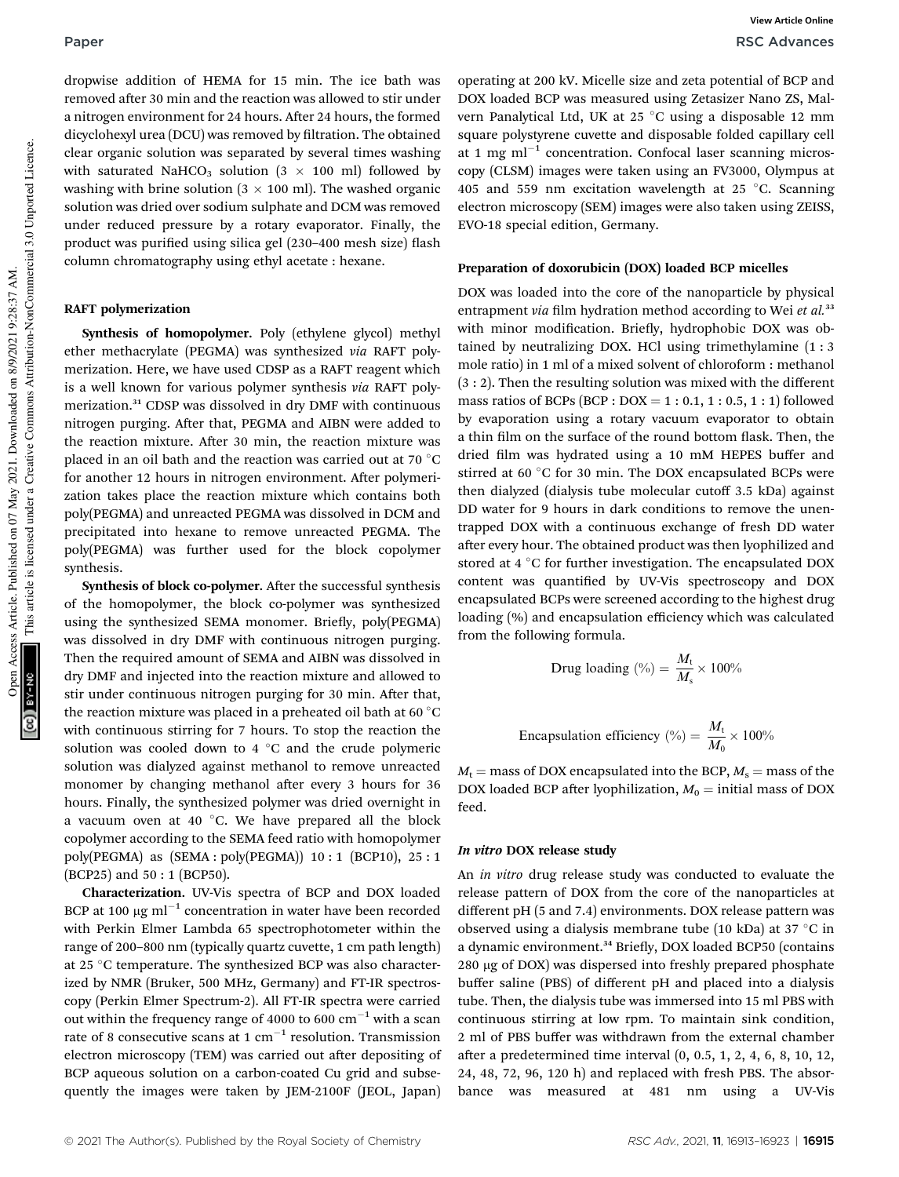dropwise addition of HEMA for 15 min. The ice bath was removed after 30 min and the reaction was allowed to stir under a nitrogen environment for 24 hours. After 24 hours, the formed dicyclohexyl urea (DCU) was removed by filtration. The obtained clear organic solution was separated by several times washing with saturated NaHCO<sub>3</sub> solution (3  $\times$  100 ml) followed by washing with brine solution ( $3 \times 100$  ml). The washed organic solution was dried over sodium sulphate and DCM was removed under reduced pressure by a rotary evaporator. Finally, the product was purified using silica gel (230–400 mesh size) flash column chromatography using ethyl acetate : hexane.

### RAFT polymerization

Synthesis of homopolymer. Poly (ethylene glycol) methyl ether methacrylate (PEGMA) was synthesized *via* RAFT polymerization. Here, we have used CDSP as a RAFT reagent which is a well known for various polymer synthesis *via* RAFT polymerization.<sup>31</sup> CDSP was dissolved in dry DMF with continuous nitrogen purging. After that, PEGMA and AIBN were added to the reaction mixture. After 30 min, the reaction mixture was placed in an oil bath and the reaction was carried out at 70  $^{\circ}$ C for another 12 hours in nitrogen environment. After polymerization takes place the reaction mixture which contains both poly(PEGMA) and unreacted PEGMA was dissolved in DCM and precipitated into hexane to remove unreacted PEGMA. The poly(PEGMA) was further used for the block copolymer synthesis.

Synthesis of block co-polymer. After the successful synthesis of the homopolymer, the block co-polymer was synthesized using the synthesized SEMA monomer. Briefly, poly(PEGMA) was dissolved in dry DMF with continuous nitrogen purging. Then the required amount of SEMA and AIBN was dissolved in dry DMF and injected into the reaction mixture and allowed to stir under continuous nitrogen purging for 30 min. After that, the reaction mixture was placed in a preheated oil bath at 60  $^{\circ}$ C with continuous stirring for 7 hours. To stop the reaction the solution was cooled down to 4  $\degree$ C and the crude polymeric solution was dialyzed against methanol to remove unreacted monomer by changing methanol after every 3 hours for 36 hours. Finally, the synthesized polymer was dried overnight in a vacuum oven at 40  $^{\circ}$ C. We have prepared all the block copolymer according to the SEMA feed ratio with homopolymer poly(PEGMA) as (SEMA : poly(PEGMA)) 10 : 1 (BCP10), 25 : 1 (BCP25) and 50 : 1 (BCP50).

Characterization. UV-Vis spectra of BCP and DOX loaded BCP at 100  $\mu$ g ml $^{-1}$  concentration in water have been recorded with Perkin Elmer Lambda 65 spectrophotometer within the range of 200–800 nm (typically quartz cuvette, 1 cm path length) at 25 °C temperature. The synthesized BCP was also characterized by NMR (Bruker, 500 MHz, Germany) and FT-IR spectroscopy (Perkin Elmer Spectrum-2). All FT-IR spectra were carried out within the frequency range of 4000 to 600  $\text{cm}^{-1}$  with a scan rate of 8 consecutive scans at 1  $\rm cm^{-1}$  resolution. Transmission electron microscopy (TEM) was carried out after depositing of BCP aqueous solution on a carbon-coated Cu grid and subsequently the images were taken by JEM-2100F (JEOL, Japan)

operating at 200 kV. Micelle size and zeta potential of BCP and DOX loaded BCP was measured using Zetasizer Nano ZS, Malvern Panalytical Ltd, UK at 25 °C using a disposable 12 mm square polystyrene cuvette and disposable folded capillary cell at 1 mg  $ml^{-1}$  concentration. Confocal laser scanning microscopy (CLSM) images were taken using an FV3000, Olympus at 405 and 559 nm excitation wavelength at 25  $^{\circ}$ C. Scanning electron microscopy (SEM) images were also taken using ZEISS, EVO-18 special edition, Germany.

#### Preparation of doxorubicin (DOX) loaded BCP micelles

DOX was loaded into the core of the nanoparticle by physical entrapment *via* film hydration method according to Wei et al.<sup>33</sup> with minor modification. Briefly, hydrophobic DOX was obtained by neutralizing DOX. HCl using trimethylamine (1 : 3 mole ratio) in 1 ml of a mixed solvent of chloroform : methanol (3 : 2). Then the resulting solution was mixed with the different mass ratios of BCPs (BCP :  $DOX = 1 : 0.1, 1 : 0.5, 1 : 1$ ) followed by evaporation using a rotary vacuum evaporator to obtain a thin film on the surface of the round bottom flask. Then, the dried film was hydrated using a 10 mM HEPES buffer and stirred at 60 $\degree$ C for 30 min. The DOX encapsulated BCPs were then dialyzed (dialysis tube molecular cutoff 3.5 kDa) against DD water for 9 hours in dark conditions to remove the unentrapped DOX with a continuous exchange of fresh DD water after every hour. The obtained product was then lyophilized and stored at  $4 \text{ }^{\circ}$ C for further investigation. The encapsulated DOX content was quantified by UV-Vis spectroscopy and DOX encapsulated BCPs were screened according to the highest drug loading (%) and encapsulation efficiency which was calculated from the following formula.

$$
Drug loading (%) = \frac{M_t}{M_s} \times 100\%
$$

Encapsulation efficiency (
$$
\% = \frac{M_t}{M_0} \times 100\%
$$

 $M_t$  = mass of DOX encapsulated into the BCP,  $M_s$  = mass of the DOX loaded BCP after lyophilization,  $M_0$  = initial mass of DOX feed.

#### In vitro DOX release study

An *in vitro* drug release study was conducted to evaluate the release pattern of DOX from the core of the nanoparticles at different pH (5 and 7.4) environments. DOX release pattern was observed using a dialysis membrane tube (10 kDa) at 37  $\degree$ C in a dynamic environment.<sup>34</sup> Briefly, DOX loaded BCP50 (contains 280 mg of DOX) was dispersed into freshly prepared phosphate buffer saline (PBS) of different pH and placed into a dialysis tube. Then, the dialysis tube was immersed into 15 ml PBS with continuous stirring at low rpm. To maintain sink condition, 2 ml of PBS buffer was withdrawn from the external chamber after a predetermined time interval  $(0, 0.5, 1, 2, 4, 6, 8, 10, 12,$ 24, 48, 72, 96, 120 h) and replaced with fresh PBS. The absorbance was measured at 481 nm using a UV-Vis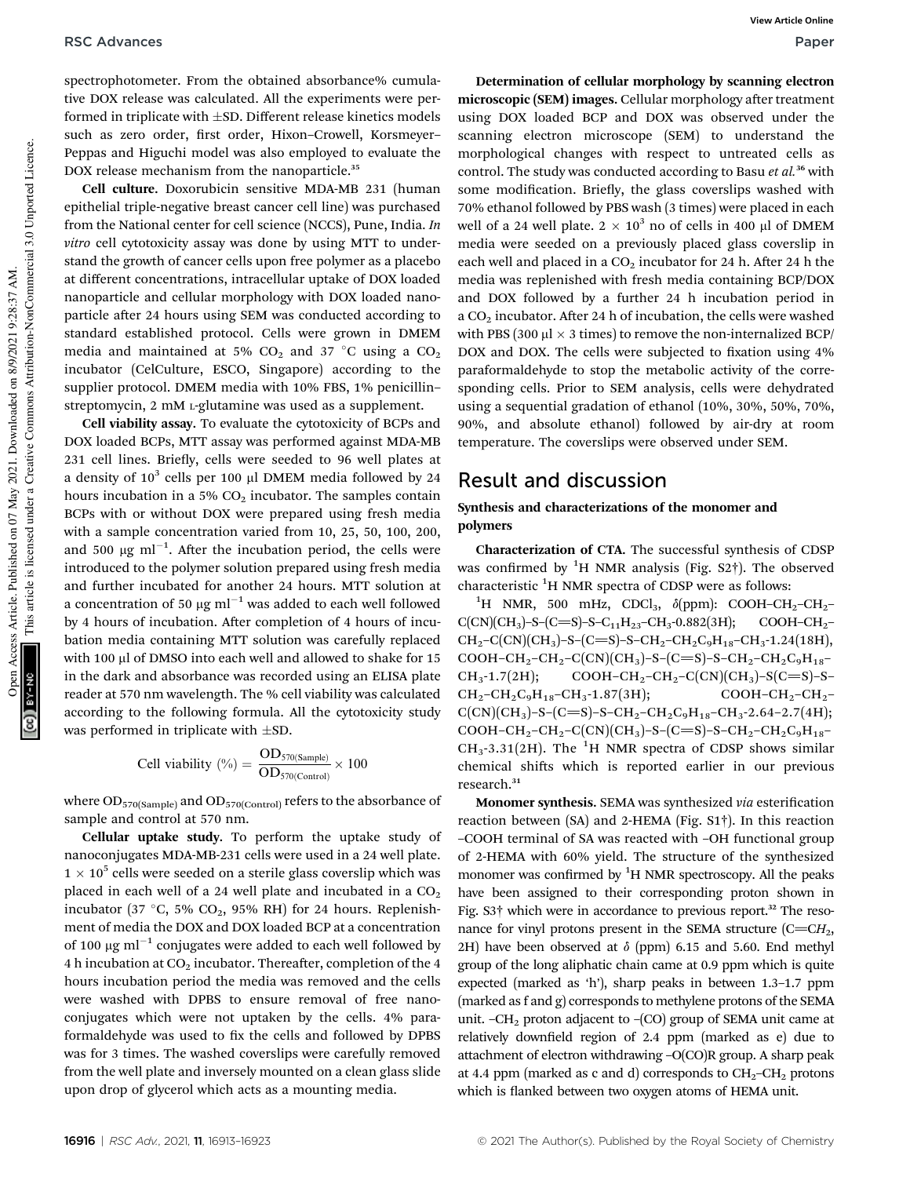spectrophotometer. From the obtained absorbance% cumulative DOX release was calculated. All the experiments were performed in triplicate with  $\pm$ SD. Different release kinetics models such as zero order, first order, Hixon-Crowell, Korsmeyer-Peppas and Higuchi model was also employed to evaluate the DOX release mechanism from the nanoparticle.<sup>35</sup>

Cell culture. Doxorubicin sensitive MDA-MB 231 (human epithelial triple-negative breast cancer cell line) was purchased from the National center for cell science (NCCS), Pune, India. *In vitro* cell cytotoxicity assay was done by using MTT to understand the growth of cancer cells upon free polymer as a placebo at different concentrations, intracellular uptake of DOX loaded nanoparticle and cellular morphology with DOX loaded nanoparticle after 24 hours using SEM was conducted according to standard established protocol. Cells were grown in DMEM media and maintained at 5%  $CO<sub>2</sub>$  and 37 °C using a  $CO<sub>2</sub>$ incubator (CelCulture, ESCO, Singapore) according to the supplier protocol. DMEM media with 10% FBS, 1% penicillin– streptomycin, 2 mM <sup>L</sup>-glutamine was used as a supplement.

Cell viability assay. To evaluate the cytotoxicity of BCPs and DOX loaded BCPs, MTT assay was performed against MDA-MB 231 cell lines. Briefly, cells were seeded to 96 well plates at a density of  $10^3$  cells per 100  $\mu$ l DMEM media followed by 24 hours incubation in a 5%  $CO<sub>2</sub>$  incubator. The samples contain BCPs with or without DOX were prepared using fresh media with a sample concentration varied from 10, 25, 50, 100, 200, and 500  $\mu$ g ml<sup>-1</sup>. After the incubation period, the cells were introduced to the polymer solution prepared using fresh media and further incubated for another 24 hours. MTT solution at a concentration of 50  $\mu$ g ml<sup>-1</sup> was added to each well followed by 4 hours of incubation. After completion of 4 hours of incubation media containing MTT solution was carefully replaced with 100 µl of DMSO into each well and allowed to shake for 15 in the dark and absorbance was recorded using an ELISA plate reader at 570 nm wavelength. The % cell viability was calculated according to the following formula. All the cytotoxicity study was performed in triplicate with  $\pm$ SD.

$$
Cell \text{ viability } (\%) = \frac{OD_{570(Sample)}}{OD_{570(Control)}} \times 100
$$

where  $\rm OD_{570(Sample)}$  and  $\rm OD_{570(Control)}$  refers to the absorbance of sample and control at 570 nm.

Cellular uptake study. To perform the uptake study of nanoconjugates MDA-MB-231 cells were used in a 24 well plate.  $1 \times 10^5$  cells were seeded on a sterile glass coverslip which was placed in each well of a 24 well plate and incubated in a  $CO<sub>2</sub>$ incubator (37 °C, 5% CO<sub>2</sub>, 95% RH) for 24 hours. Replenishment of media the DOX and DOX loaded BCP at a concentration of 100  $\mu$ g ml $^{-1}$  conjugates were added to each well followed by 4 h incubation at  $CO<sub>2</sub>$  incubator. Thereafter, completion of the 4 hours incubation period the media was removed and the cells were washed with DPBS to ensure removal of free nanoconjugates which were not uptaken by the cells. 4% paraformaldehyde was used to fix the cells and followed by DPBS was for 3 times. The washed coverslips were carefully removed from the well plate and inversely mounted on a clean glass slide upon drop of glycerol which acts as a mounting media.

Determination of cellular morphology by scanning electron microscopic (SEM) images. Cellular morphology after treatment using DOX loaded BCP and DOX was observed under the scanning electron microscope (SEM) to understand the morphological changes with respect to untreated cells as control. The study was conducted according to Basu *et al.*<sup>36</sup> with some modification. Briefly, the glass coverslips washed with 70% ethanol followed by PBS wash (3 times) were placed in each well of a 24 well plate.  $2 \times 10^3$  no of cells in 400 µl of DMEM media were seeded on a previously placed glass coverslip in each well and placed in a  $CO<sub>2</sub>$  incubator for 24 h. After 24 h the media was replenished with fresh media containing BCP/DOX and DOX followed by a further 24 h incubation period in a  $CO<sub>2</sub>$  incubator. After 24 h of incubation, the cells were washed with PBS (300  $\mu$ l  $\times$  3 times) to remove the non-internalized BCP/ DOX and DOX. The cells were subjected to fixation using 4% paraformaldehyde to stop the metabolic activity of the corresponding cells. Prior to SEM analysis, cells were dehydrated using a sequential gradation of ethanol (10%, 30%, 50%, 70%, 90%, and absolute ethanol) followed by air-dry at room temperature. The coverslips were observed under SEM.

## Result and discussion

### Synthesis and characterizations of the monomer and polymers

Characterization of CTA. The successful synthesis of CDSP was confirmed by  ${}^{1}H$  NMR analysis (Fig. S2†). The observed characteristic <sup>1</sup>H NMR spectra of CDSP were as follows:

<sup>1</sup>H NMR, 500 mHz, CDCl<sub>3</sub>,  $\delta$ (ppm): COOH–CH<sub>2</sub>–CH<sub>2</sub>–  $C(CN)(CH<sub>3</sub>)-S-(C=S)-S-C<sub>11</sub>H<sub>23</sub>-CH<sub>3</sub>-0.882(3H); COOH-CH<sub>2</sub> CH_2-C(CN)(CH_3)-S-(C=S)-S-CH_2-CH_2C_9H_{18}-CH_3-1.24(18H),$  $COOH-CH_2-CH_2-CC(N)(CH_3)-S-(C=S)-S-CH_2-CH_2C_9H_{18} CH_3$ -1.7(2H); COOH–CH<sub>2</sub>–CH<sub>2</sub>–C(CN)(CH<sub>3</sub>)–S(C=S)–S–  $CH_2-CH_2C_9H_{18}-CH_3-1.87(3H);$  COOH-CH<sub>2</sub>-CH<sub>2</sub>- $C(CN)(CH<sub>3</sub>)-S-(C=S)-S-CH<sub>2</sub>-CH<sub>2</sub>C<sub>9</sub>H<sub>18</sub>-CH<sub>3</sub>-2.64-2.7(4H);$  $COOH-CH_2-CH_2-C(CN)(CH_3)-S-(C=S)-S-CH_2-CH_2C_9H_{18} CH_3$ -3.31(2H). The <sup>1</sup>H NMR spectra of CDSP shows similar chemical shifts which is reported earlier in our previous research.<sup>31</sup>

Monomer synthesis. SEMA was synthesized *via* esterification reaction between (SA) and 2-HEMA (Fig. S1†). In this reaction –COOH terminal of SA was reacted with –OH functional group of 2-HEMA with 60% yield. The structure of the synthesized monomer was confirmed by  ${}^{1}H$  NMR spectroscopy. All the peaks have been assigned to their corresponding proton shown in Fig. S3† which were in accordance to previous report.<sup>32</sup> The resonance for vinyl protons present in the SEMA structure  $(C=CH_2,$ 2H) have been observed at  $\delta$  (ppm) 6.15 and 5.60. End methyl group of the long aliphatic chain came at 0.9 ppm which is quite expected (marked as 'h'), sharp peaks in between 1.3–1.7 ppm (marked as f and g) corresponds to methylene protons of the SEMA unit.  $-CH<sub>2</sub>$  proton adjacent to  $-(CO)$  group of SEMA unit came at relatively downfield region of 2.4 ppm (marked as e) due to attachment of electron withdrawing –O(CO)R group. A sharp peak at 4.4 ppm (marked as c and d) corresponds to  $CH_2-CH_2$  protons which is flanked between two oxygen atoms of HEMA unit.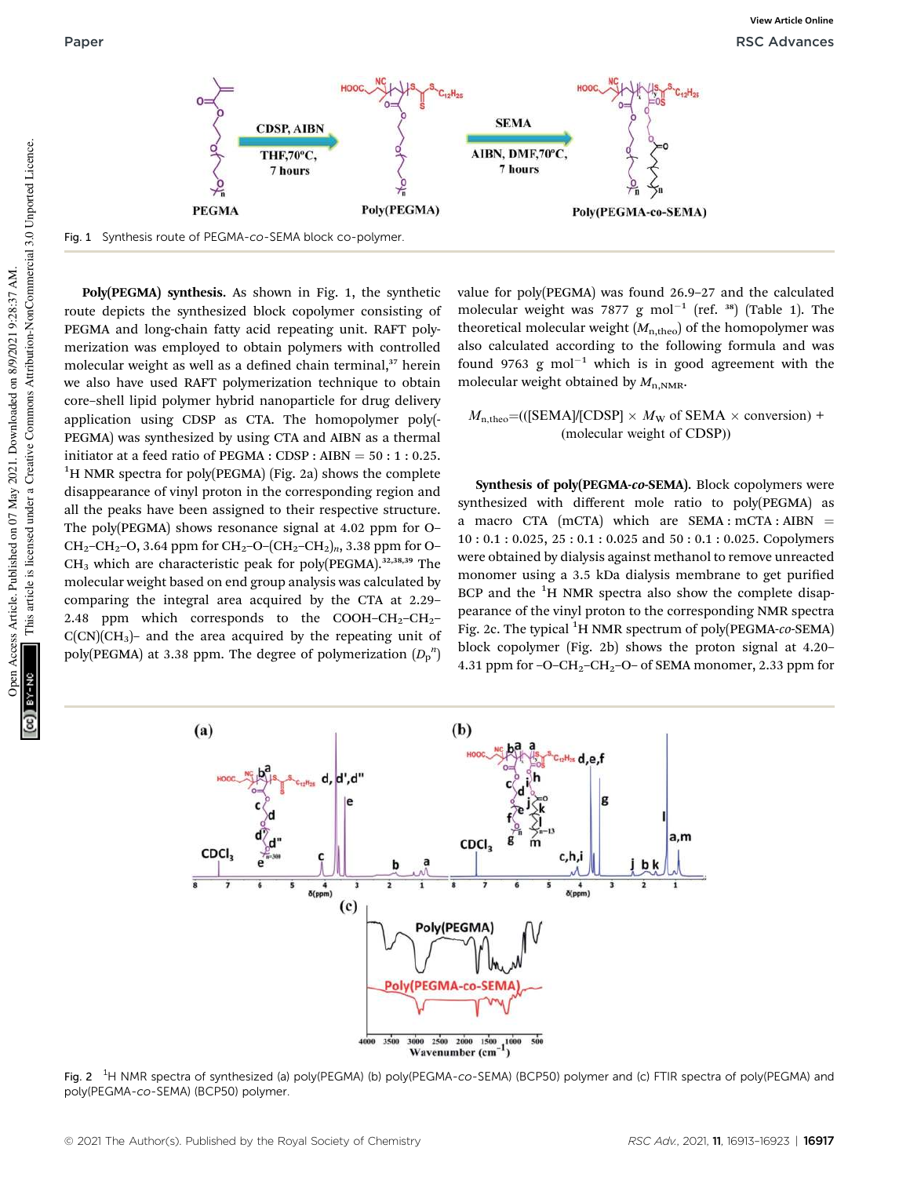

Fig. 1 Synthesis route of PEGMA-co-SEMA block co-polymer.

Poly(PEGMA) synthesis. As shown in Fig. 1, the synthetic route depicts the synthesized block copolymer consisting of PEGMA and long-chain fatty acid repeating unit. RAFT polymerization was employed to obtain polymers with controlled molecular weight as well as a defined chain terminal,<sup>37</sup> herein we also have used RAFT polymerization technique to obtain core–shell lipid polymer hybrid nanoparticle for drug delivery application using CDSP as CTA. The homopolymer poly(- PEGMA) was synthesized by using CTA and AIBN as a thermal initiator at a feed ratio of PEGMA : CDSP : AIBN =  $50:1:0.25$ .  ${}^{1}$ H NMR spectra for poly(PEGMA) (Fig. 2a) shows the complete disappearance of vinyl proton in the corresponding region and all the peaks have been assigned to their respective structure. The poly(PEGMA) shows resonance signal at 4.02 ppm for O– CH<sub>2</sub>–CH<sub>2</sub>–O, 3.64 ppm for CH<sub>2</sub>–O–(CH<sub>2</sub>–CH<sub>2</sub>)<sub>n</sub>, 3.38 ppm for O–  $CH<sub>3</sub>$  which are characteristic peak for poly(PEGMA).<sup>32,38,39</sup> The molecular weight based on end group analysis was calculated by comparing the integral area acquired by the CTA at 2.29– 2.48 ppm which corresponds to the COOH–CH<sub>2</sub>–CH<sub>2</sub>–  $C(CN)(CH<sub>3</sub>)$ – and the area acquired by the repeating unit of poly(PEGMA) at 3.38 ppm. The degree of polymerization  $(D_p^{\ n})$ 

value for poly(PEGMA) was found 26.9–27 and the calculated molecular weight was 7877 g  $mol^{-1}$  (ref. 38) (Table 1). The theoretical molecular weight  $(M_{n,theo})$  of the homopolymer was also calculated according to the following formula and was found 9763 g mol<sup>-1</sup> which is in good agreement with the molecular weight obtained by  $M_{n,NMR}$ .

 $M_{\text{n,theo}} = (([SEMA]/[CDSP] \times M_W \text{ of SEMA} \times \text{conversion}) +$ (molecular weight of CDSP))

Synthesis of poly(PEGMA-co-SEMA). Block copolymers were synthesized with different mole ratio to poly(PEGMA) as a macro CTA  $(mCTA)$  which are SEMA :  $mCTA : AIBN$  = 10 : 0.1 : 0.025, 25 : 0.1 : 0.025 and 50 : 0.1 : 0.025. Copolymers were obtained by dialysis against methanol to remove unreacted monomer using a 3.5 kDa dialysis membrane to get purified BCP and the  ${}^{1}H$  NMR spectra also show the complete disappearance of the vinyl proton to the corresponding NMR spectra Fig. 2c. The typical <sup>1</sup>H NMR spectrum of poly(PEGMA-*co*-SEMA) block copolymer (Fig. 2b) shows the proton signal at 4.20– 4.31 ppm for  $-O-CH_2-CH_2-O-$  of SEMA monomer, 2.33 ppm for



Fig. 2 <sup>1</sup>H NMR spectra of synthesized (a) poly(PEGMA) (b) poly(PEGMA-co-SEMA) (BCP50) polymer and (c) FTIR spectra of poly(PEGMA) and poly(PEGMA-co-SEMA) (BCP50) polymer.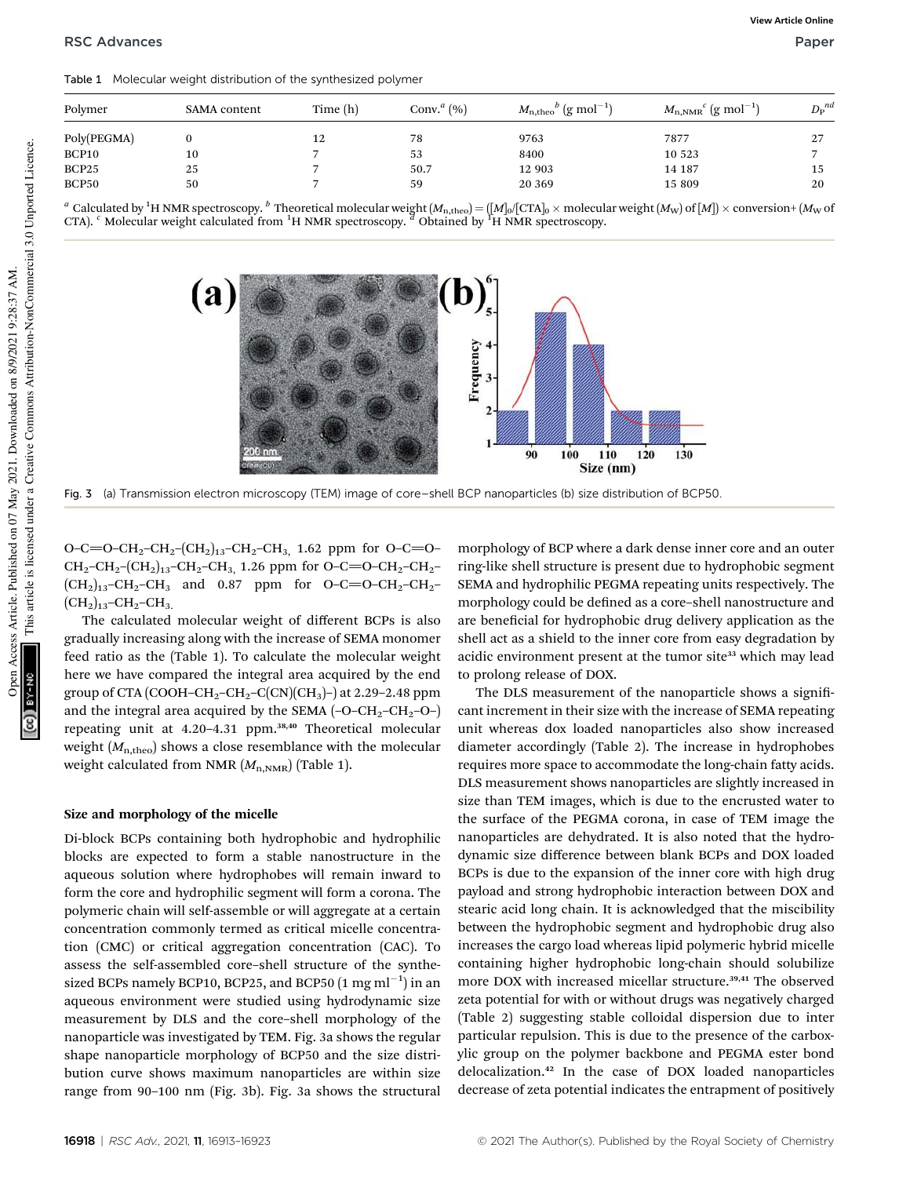Table 1 Molecular weight distribution of the synthesized polymer

| Polymer     | SAMA content | Time (h) | Conv. <sup><i>a</i></sup> $(\% )$ | $M_{\rm n,theo}^{b}$ (g mol <sup>-1</sup> ) | $M_{\rm n,NMR}^{\rm}$ c (g mol $^{-1})$ | $D_{\rm P}^{\phantom{p}nd}$ |
|-------------|--------------|----------|-----------------------------------|---------------------------------------------|-----------------------------------------|-----------------------------|
| Poly(PEGMA) |              | 12       | 78                                | 9763                                        | 7877                                    | 27                          |
| BCP10       | 10           |          | 53                                | 8400                                        | 10 523                                  |                             |
| BCP25       | 25           |          | 50.7                              | 12 903                                      | 14 187                                  | 15                          |
| BCP50       | 50           |          | 59                                | 20 369                                      | 15 809                                  | 20                          |
|             |              |          |                                   |                                             |                                         |                             |

<sup>a</sup> Calculated by <sup>1</sup>H NMR spectroscopy. <sup>b</sup> Theoretical molecular weight  $(M_{n,\text{theo}}) = ([M]_0/[\text{CTA}]_0 \times \text{molecular weight}(M_{\text{W}})$  of  $[M]) \times \text{conversion} + (M_{\text{W}}$  of  $[M]$   $\times$  conversion+  $(M_{\text{W}}$  of  $(M_{\text{W}})$ 



Fig. 3 (a) Transmission electron microscopy (TEM) image of core–shell BCP nanoparticles (b) size distribution of BCP50.

O–C=O–CH<sub>2</sub>–CH<sub>2</sub>–(CH<sub>2</sub>)<sub>13</sub>–CH<sub>2</sub>–CH<sub>3</sub>, 1.62 ppm for O–C=O–  $CH_2-CH_2-(CH_2)_{13}-CH_2-CH_3$ , 1.26 ppm for O–C=O–CH<sub>2</sub>–CH<sub>2</sub>–  $(CH_2)_{13}$ -CH<sub>2</sub>-CH<sub>3</sub> and 0.87 ppm for O-C=O-CH<sub>2</sub>-CH<sub>2</sub>- $(CH<sub>2</sub>)<sub>13</sub>$ -CH<sub>2</sub>-CH<sub>3</sub>.

The calculated molecular weight of different BCPs is also gradually increasing along with the increase of SEMA monomer feed ratio as the (Table 1). To calculate the molecular weight here we have compared the integral area acquired by the end group of CTA (COOH–CH<sub>2</sub>–CH<sub>2</sub>–C(CN)(CH<sub>3</sub>)–) at 2.29–2.48 ppm and the integral area acquired by the SEMA  $(-O-CH_2-CH_2-O-)$ repeating unit at 4.20-4.31 ppm.<sup>38,40</sup> Theoretical molecular weight ( $M_{\text{n,theo}}$ ) shows a close resemblance with the molecular weight calculated from NMR ( $M_{n,NMR}$ ) (Table 1).

#### Size and morphology of the micelle

Di-block BCPs containing both hydrophobic and hydrophilic blocks are expected to form a stable nanostructure in the aqueous solution where hydrophobes will remain inward to form the core and hydrophilic segment will form a corona. The polymeric chain will self-assemble or will aggregate at a certain concentration commonly termed as critical micelle concentration (CMC) or critical aggregation concentration (CAC). To assess the self-assembled core–shell structure of the synthesized BCPs namely BCP10, BCP25, and BCP50  $(1 \text{ mg ml}^{-1})$  in an aqueous environment were studied using hydrodynamic size measurement by DLS and the core–shell morphology of the nanoparticle was investigated by TEM. Fig. 3a shows the regular shape nanoparticle morphology of BCP50 and the size distribution curve shows maximum nanoparticles are within size range from 90–100 nm (Fig. 3b). Fig. 3a shows the structural

morphology of BCP where a dark dense inner core and an outer ring-like shell structure is present due to hydrophobic segment SEMA and hydrophilic PEGMA repeating units respectively. The morphology could be defined as a core-shell nanostructure and are beneficial for hydrophobic drug delivery application as the shell act as a shield to the inner core from easy degradation by acidic environment present at the tumor site<sup>33</sup> which may lead to prolong release of DOX.

The DLS measurement of the nanoparticle shows a significant increment in their size with the increase of SEMA repeating unit whereas dox loaded nanoparticles also show increased diameter accordingly (Table 2). The increase in hydrophobes requires more space to accommodate the long-chain fatty acids. DLS measurement shows nanoparticles are slightly increased in size than TEM images, which is due to the encrusted water to the surface of the PEGMA corona, in case of TEM image the nanoparticles are dehydrated. It is also noted that the hydrodynamic size difference between blank BCPs and DOX loaded BCPs is due to the expansion of the inner core with high drug payload and strong hydrophobic interaction between DOX and stearic acid long chain. It is acknowledged that the miscibility between the hydrophobic segment and hydrophobic drug also increases the cargo load whereas lipid polymeric hybrid micelle containing higher hydrophobic long-chain should solubilize more DOX with increased micellar structure.<sup>39,41</sup> The observed zeta potential for with or without drugs was negatively charged (Table 2) suggesting stable colloidal dispersion due to inter particular repulsion. This is due to the presence of the carboxylic group on the polymer backbone and PEGMA ester bond delocalization.<sup>42</sup> In the case of DOX loaded nanoparticles decrease of zeta potential indicates the entrapment of positively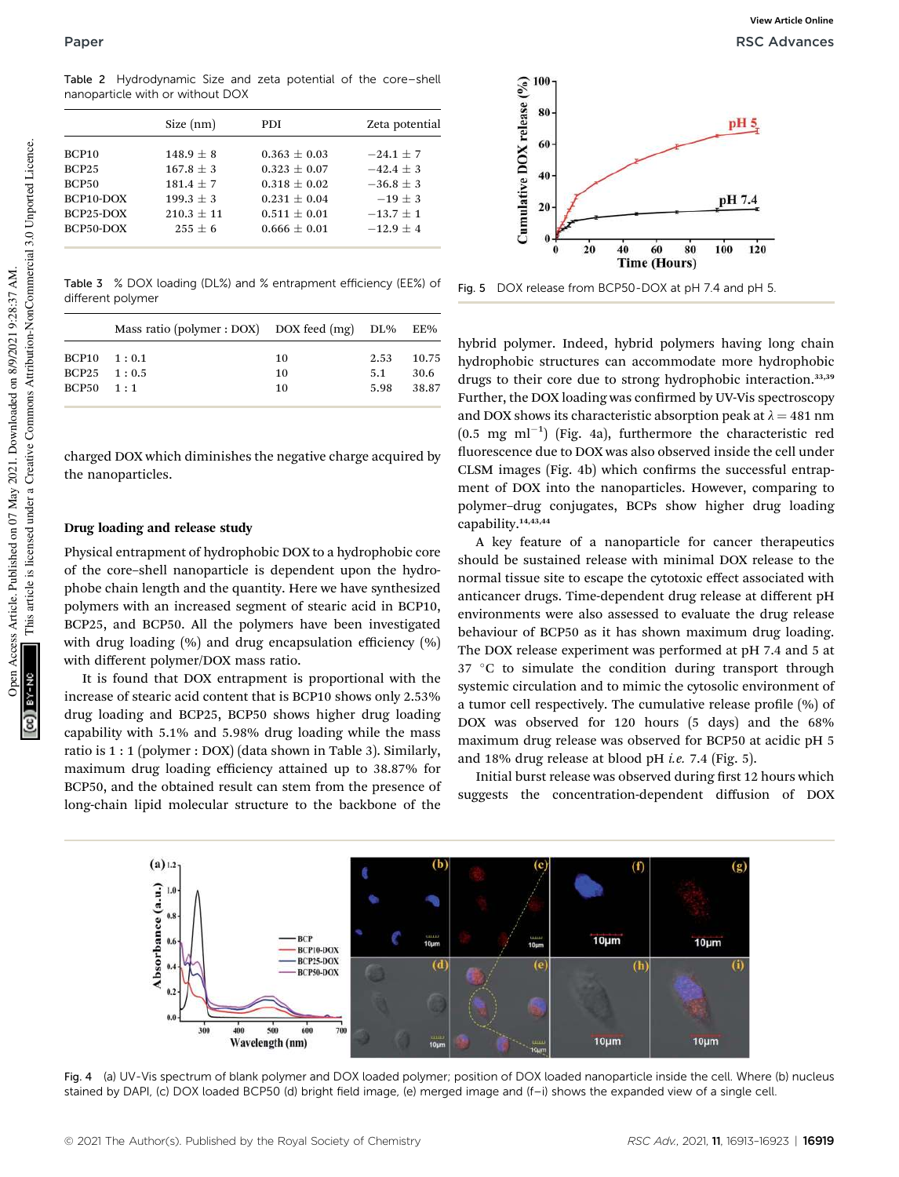Table 2 Hydrodynamic Size and zeta potential of the core–shell nanoparticle with or without DOX

|                   | Size (nm)    | PDI.           | Zeta potential |
|-------------------|--------------|----------------|----------------|
| BCP <sub>10</sub> | $148.9 + 8$  | $0.363 + 0.03$ | $-24.1 + 7$    |
| <b>BCP25</b>      | $167.8 + 3$  | $0.323 + 0.07$ | $-42.4 + 3$    |
| <b>BCP50</b>      | $181.4 + 7$  | $0.318 + 0.02$ | $-36.8 + 3$    |
| BCP10-DOX         | $199.3 + 3$  | $0.231 + 0.04$ | $-19 + 3$      |
| BCP25-DOX         | $210.3 + 11$ | $0.511 + 0.01$ | $-13.7 + 1$    |
| BCP50-DOX         | $255 + 6$    | $0.666 + 0.01$ | $-12.9 + 4$    |
|                   |              |                |                |

Table 3 % DOX loading (DL%) and % entrapment efficiency (EE%) of different polymer

|                     | Mass ratio (polymer : DOX) DOX feed $(mg)$ DL% EE% |    |      |       |
|---------------------|----------------------------------------------------|----|------|-------|
| $BCP10 \quad 1:0.1$ |                                                    | 10 | 2.53 | 10.75 |
| $BCP25 \t1:0.5$     |                                                    | 10 | 5.1  | 30.6  |
| $BCP50 \quad 1:1$   |                                                    | 10 | 5.98 | 38.87 |

charged DOX which diminishes the negative charge acquired by the nanoparticles.

#### Drug loading and release study

Physical entrapment of hydrophobic DOX to a hydrophobic core of the core–shell nanoparticle is dependent upon the hydrophobe chain length and the quantity. Here we have synthesized polymers with an increased segment of stearic acid in BCP10, BCP25, and BCP50. All the polymers have been investigated with drug loading  $(\%)$  and drug encapsulation efficiency  $(\%)$ with different polymer/DOX mass ratio.

It is found that DOX entrapment is proportional with the increase of stearic acid content that is BCP10 shows only 2.53% drug loading and BCP25, BCP50 shows higher drug loading capability with 5.1% and 5.98% drug loading while the mass ratio is 1 : 1 (polymer : DOX) (data shown in Table 3). Similarly, maximum drug loading efficiency attained up to 38.87% for BCP50, and the obtained result can stem from the presence of long-chain lipid molecular structure to the backbone of the



Fig. 5 DOX release from BCP50-DOX at pH 7.4 and pH 5.

hybrid polymer. Indeed, hybrid polymers having long chain hydrophobic structures can accommodate more hydrophobic drugs to their core due to strong hydrophobic interaction.<sup>33,39</sup> Further, the DOX loading was confirmed by UV-Vis spectroscopy and DOX shows its characteristic absorption peak at  $\lambda = 481$  nm  $(0.5 \text{ mg ml}^{-1})$  (Fig. 4a), furthermore the characteristic red fluorescence due to DOX was also observed inside the cell under CLSM images (Fig. 4b) which confirms the successful entrapment of DOX into the nanoparticles. However, comparing to polymer–drug conjugates, BCPs show higher drug loading capability.14,43,44

A key feature of a nanoparticle for cancer therapeutics should be sustained release with minimal DOX release to the normal tissue site to escape the cytotoxic effect associated with anticancer drugs. Time-dependent drug release at different pH environments were also assessed to evaluate the drug release behaviour of BCP50 as it has shown maximum drug loading. The DOX release experiment was performed at pH 7.4 and 5 at 37 °C to simulate the condition during transport through systemic circulation and to mimic the cytosolic environment of a tumor cell respectively. The cumulative release profile  $(\%)$  of DOX was observed for 120 hours (5 days) and the 68% maximum drug release was observed for BCP50 at acidic pH 5 and 18% drug release at blood pH *i.e.* 7.4 (Fig. 5).

Initial burst release was observed during first 12 hours which suggests the concentration-dependent diffusion of DOX



Fig. 4 (a) UV-Vis spectrum of blank polymer and DOX loaded polymer; position of DOX loaded nanoparticle inside the cell. Where (b) nucleus stained by DAPI, (c) DOX loaded BCP50 (d) bright field image, (e) merged image and (f–i) shows the expanded view of a single cell.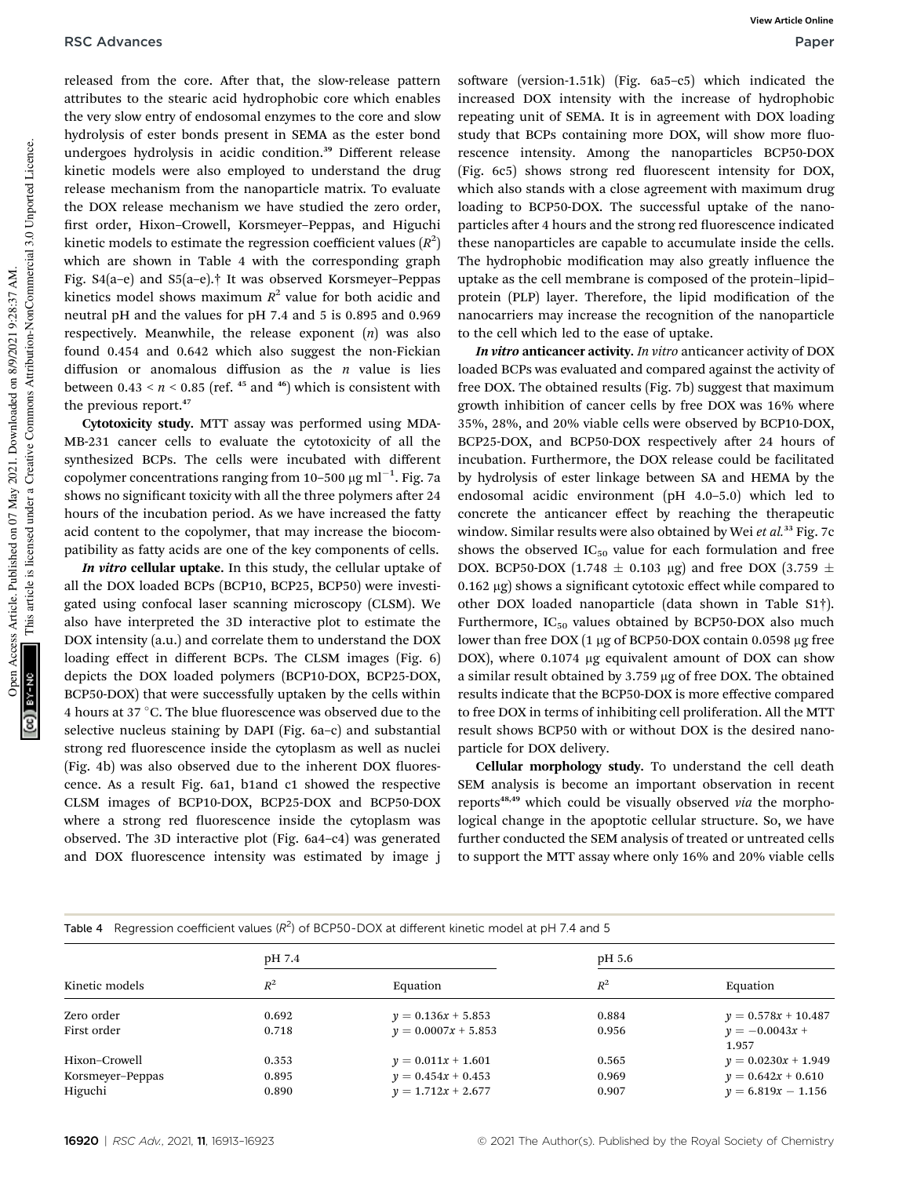released from the core. After that, the slow-release pattern attributes to the stearic acid hydrophobic core which enables the very slow entry of endosomal enzymes to the core and slow hydrolysis of ester bonds present in SEMA as the ester bond undergoes hydrolysis in acidic condition.<sup>39</sup> Different release kinetic models were also employed to understand the drug release mechanism from the nanoparticle matrix. To evaluate the DOX release mechanism we have studied the zero order, first order, Hixon-Crowell, Korsmeyer-Peppas, and Higuchi kinetic models to estimate the regression coefficient values  $(R^2)$ which are shown in Table 4 with the corresponding graph Fig. S4(a–e) and S5(a–e).† It was observed Korsmeyer–Peppas kinetics model shows maximum  $R^2$  value for both acidic and neutral pH and the values for pH 7.4 and 5 is 0.895 and 0.969 respectively. Meanwhile, the release exponent (*n*) was also found 0.454 and 0.642 which also suggest the non-Fickian diffusion or anomalous diffusion as the *n* value is lies between  $0.43 \le n \le 0.85$  (ref. <sup>45</sup> and <sup>46</sup>) which is consistent with the previous report.<sup>47</sup>

Cytotoxicity study. MTT assay was performed using MDA-MB-231 cancer cells to evaluate the cytotoxicity of all the synthesized BCPs. The cells were incubated with different copolymer concentrations ranging from 10–500  $\mu\mathrm{g\,ml^{-1}}$ . Fig. 7a shows no significant toxicity with all the three polymers after 24 hours of the incubation period. As we have increased the fatty acid content to the copolymer, that may increase the biocompatibility as fatty acids are one of the key components of cells.

In vitro cellular uptake. In this study, the cellular uptake of all the DOX loaded BCPs (BCP10, BCP25, BCP50) were investigated using confocal laser scanning microscopy (CLSM). We also have interpreted the 3D interactive plot to estimate the DOX intensity (a.u.) and correlate them to understand the DOX loading effect in different BCPs. The CLSM images (Fig. 6) depicts the DOX loaded polymers (BCP10-DOX, BCP25-DOX, BCP50-DOX) that were successfully uptaken by the cells within 4 hours at 37  $\mathrm{^{\circ}C}.$  The blue fluorescence was observed due to the selective nucleus staining by DAPI (Fig. 6a–c) and substantial strong red fluorescence inside the cytoplasm as well as nuclei (Fig. 4b) was also observed due to the inherent DOX fluorescence. As a result Fig. 6a1, b1and c1 showed the respective CLSM images of BCP10-DOX, BCP25-DOX and BCP50-DOX where a strong red fluorescence inside the cytoplasm was observed. The 3D interactive plot (Fig. 6a4–c4) was generated and DOX fluorescence intensity was estimated by image j

software (version-1.51k) (Fig.  $6a5-c5$ ) which indicated the increased DOX intensity with the increase of hydrophobic repeating unit of SEMA. It is in agreement with DOX loading study that BCPs containing more DOX, will show more fluorescence intensity. Among the nanoparticles BCP50-DOX (Fig. 6c5) shows strong red fluorescent intensity for DOX, which also stands with a close agreement with maximum drug loading to BCP50-DOX. The successful uptake of the nanoparticles after 4 hours and the strong red fluorescence indicated these nanoparticles are capable to accumulate inside the cells. The hydrophobic modification may also greatly influence the uptake as the cell membrane is composed of the protein–lipid– protein (PLP) layer. Therefore, the lipid modification of the nanocarriers may increase the recognition of the nanoparticle to the cell which led to the ease of uptake.

In vitro anticancer activity. *In vitro* anticancer activity of DOX loaded BCPs was evaluated and compared against the activity of free DOX. The obtained results (Fig. 7b) suggest that maximum growth inhibition of cancer cells by free DOX was 16% where 35%, 28%, and 20% viable cells were observed by BCP10-DOX, BCP25-DOX, and BCP50-DOX respectively after 24 hours of incubation. Furthermore, the DOX release could be facilitated by hydrolysis of ester linkage between SA and HEMA by the endosomal acidic environment (pH 4.0–5.0) which led to concrete the anticancer effect by reaching the therapeutic window. Similar results were also obtained by Wei *et al.*<sup>33</sup> Fig. 7c shows the observed  $IC_{50}$  value for each formulation and free DOX. BCP50-DOX (1.748  $\pm$  0.103 µg) and free DOX (3.759  $\pm$  $0.162 \mu$ g) shows a significant cytotoxic effect while compared to other DOX loaded nanoparticle (data shown in Table S1†). Furthermore,  $IC_{50}$  values obtained by BCP50-DOX also much lower than free DOX  $(1 \mu g)$  of BCP50-DOX contain 0.0598  $\mu g$  free DOX), where 0.1074 µg equivalent amount of DOX can show a similar result obtained by 3.759 µg of free DOX. The obtained results indicate that the BCP50-DOX is more effective compared to free DOX in terms of inhibiting cell proliferation. All the MTT result shows BCP50 with or without DOX is the desired nanoparticle for DOX delivery.

Cellular morphology study. To understand the cell death SEM analysis is become an important observation in recent reports<sup>48,49</sup> which could be visually observed *via* the morphological change in the apoptotic cellular structure. So, we have further conducted the SEM analysis of treated or untreated cells to support the MTT assay where only 16% and 20% viable cells

| Regression coefficient values $(R^2)$ of BCP50-DOX at different kinetic model at pH 7.4 and 5<br>Table 4 |        |                       |        |                           |  |
|----------------------------------------------------------------------------------------------------------|--------|-----------------------|--------|---------------------------|--|
|                                                                                                          | pH 7.4 |                       | pH 5.6 |                           |  |
| Kinetic models                                                                                           | $R^2$  | Equation              | $R^2$  | Equation                  |  |
| Zero order                                                                                               | 0.692  | $y = 0.136x + 5.853$  | 0.884  | $y = 0.578x + 10.487$     |  |
| First order                                                                                              | 0.718  | $y = 0.0007x + 5.853$ | 0.956  | $y = -0.0043x +$<br>1.957 |  |
| Hixon–Crowell                                                                                            | 0.353  | $y = 0.011x + 1.601$  | 0.565  | $y = 0.0230x + 1.949$     |  |
| Korsmeyer-Peppas                                                                                         | 0.895  | $y = 0.454x + 0.453$  | 0.969  | $y = 0.642x + 0.610$      |  |
| Higuchi                                                                                                  | 0.890  | $y = 1.712x + 2.677$  | 0.907  | $y = 6.819x - 1.156$      |  |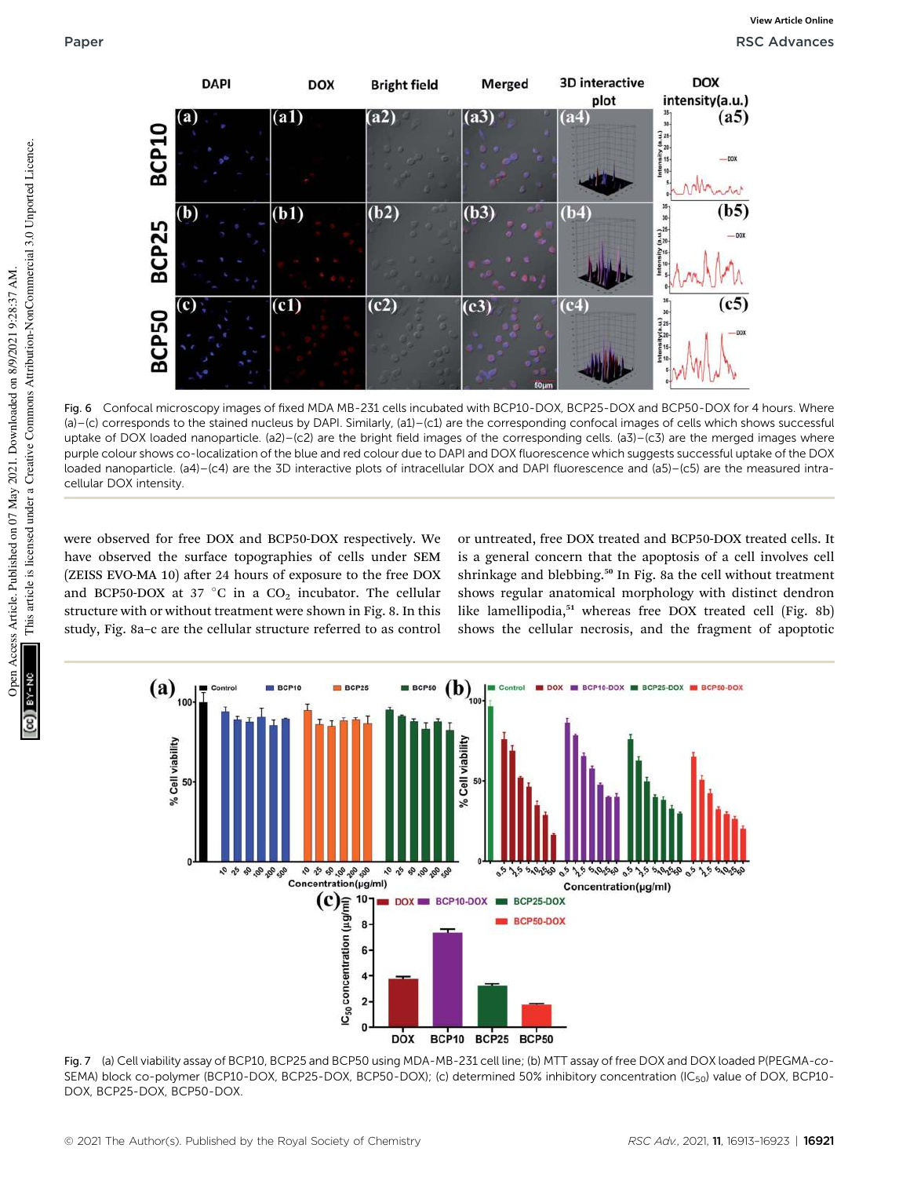

Fig. 6 Confocal microscopy images of fixed MDA MB-231 cells incubated with BCP10-DOX, BCP25-DOX and BCP50-DOX for 4 hours. Where (a)–(c) corresponds to the stained nucleus by DAPI. Similarly, (a1)–(c1) are the corresponding confocal images of cells which shows successful uptake of DOX loaded nanoparticle. (a2)–(c2) are the bright field images of the corresponding cells. (a3)–(c3) are the merged images where purple colour shows co-localization of the blue and red colour due to DAPI and DOX fluorescence which suggests successful uptake of the DOX loaded nanoparticle. (a4)–(c4) are the 3D interactive plots of intracellular DOX and DAPI fluorescence and (a5)–(c5) are the measured intracellular DOX intensity.

were observed for free DOX and BCP50-DOX respectively. We have observed the surface topographies of cells under SEM (ZEISS EVO-MA 10) after 24 hours of exposure to the free DOX and BCP50-DOX at 37 °C in a  $CO<sub>2</sub>$  incubator. The cellular structure with or without treatment were shown in Fig. 8. In this study, Fig. 8a–c are the cellular structure referred to as control

or untreated, free DOX treated and BCP50-DOX treated cells. It is a general concern that the apoptosis of a cell involves cell shrinkage and blebbing.<sup>50</sup> In Fig. 8a the cell without treatment shows regular anatomical morphology with distinct dendron like lamellipodia,<sup>51</sup> whereas free DOX treated cell (Fig. 8b) shows the cellular necrosis, and the fragment of apoptotic



Fig. 7 (a) Cell viability assay of BCP10, BCP25 and BCP50 using MDA-MB-231 cell line; (b) MTT assay of free DOX and DOX loaded P(PEGMA-co-SEMA) block co-polymer (BCP10-DOX, BCP25-DOX, BCP50-DOX); (c) determined 50% inhibitory concentration (IC<sub>50</sub>) value of DOX, BCP10-DOX, BCP25-DOX, BCP50-DOX.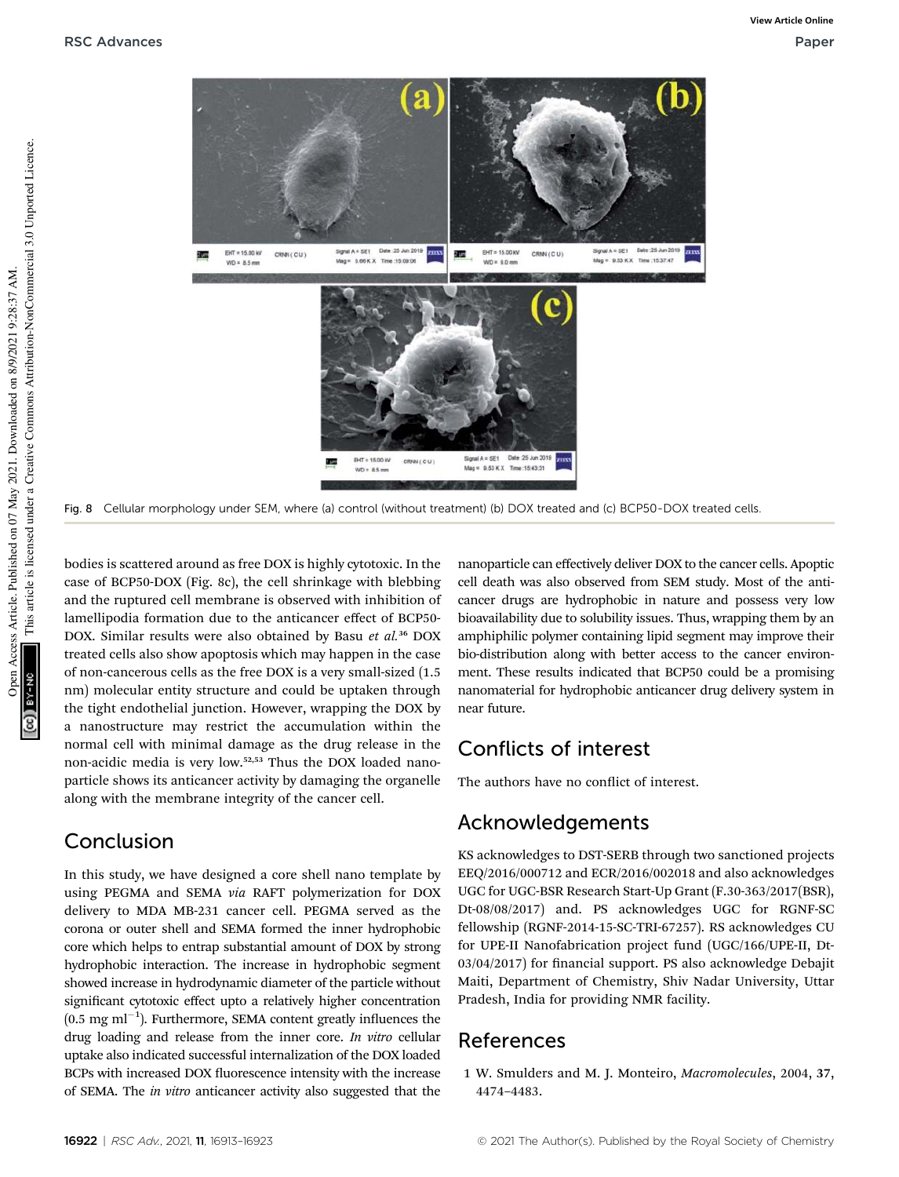

Fig. 8 Cellular morphology under SEM, where (a) control (without treatment) (b) DOX treated and (c) BCP50-DOX treated cells.

bodies is scattered around as free DOX is highly cytotoxic. In the case of BCP50-DOX (Fig. 8c), the cell shrinkage with blebbing and the ruptured cell membrane is observed with inhibition of lamellipodia formation due to the anticancer effect of BCP50- DOX. Similar results were also obtained by Basu *et al.*<sup>36</sup> DOX treated cells also show apoptosis which may happen in the case of non-cancerous cells as the free DOX is a very small-sized (1.5 nm) molecular entity structure and could be uptaken through the tight endothelial junction. However, wrapping the DOX by a nanostructure may restrict the accumulation within the normal cell with minimal damage as the drug release in the non-acidic media is very low.52,53 Thus the DOX loaded nanoparticle shows its anticancer activity by damaging the organelle along with the membrane integrity of the cancer cell.

## Conclusion

In this study, we have designed a core shell nano template by using PEGMA and SEMA *via* RAFT polymerization for DOX delivery to MDA MB-231 cancer cell. PEGMA served as the corona or outer shell and SEMA formed the inner hydrophobic core which helps to entrap substantial amount of DOX by strong hydrophobic interaction. The increase in hydrophobic segment showed increase in hydrodynamic diameter of the particle without significant cytotoxic effect upto a relatively higher concentration  $(0.5 \text{ mg ml}^{-1})$ . Furthermore, SEMA content greatly influences the drug loading and release from the inner core. *In vitro* cellular uptake also indicated successful internalization of the DOX loaded BCPs with increased DOX fluorescence intensity with the increase of SEMA. The *in vitro* anticancer activity also suggested that the

nanoparticle can effectively deliver DOX to the cancer cells. Apoptic cell death was also observed from SEM study. Most of the anticancer drugs are hydrophobic in nature and possess very low bioavailability due to solubility issues. Thus, wrapping them by an amphiphilic polymer containing lipid segment may improve their bio-distribution along with better access to the cancer environment. These results indicated that BCP50 could be a promising nanomaterial for hydrophobic anticancer drug delivery system in near future.

## Conflicts of interest

The authors have no conflict of interest.

## Acknowledgements

KS acknowledges to DST-SERB through two sanctioned projects EEQ/2016/000712 and ECR/2016/002018 and also acknowledges UGC for UGC-BSR Research Start-Up Grant (F.30-363/2017(BSR), Dt-08/08/2017) and. PS acknowledges UGC for RGNF-SC fellowship (RGNF-2014-15-SC-TRI-67257). RS acknowledges CU for UPE-II Nanofabrication project fund (UGC/166/UPE-II, Dt-03/04/2017) for financial support. PS also acknowledge Debajit Maiti, Department of Chemistry, Shiv Nadar University, Uttar Pradesh, India for providing NMR facility.

## References

1 W. Smulders and M. J. Monteiro, *Macromolecules*, 2004, 37, 4474–4483.